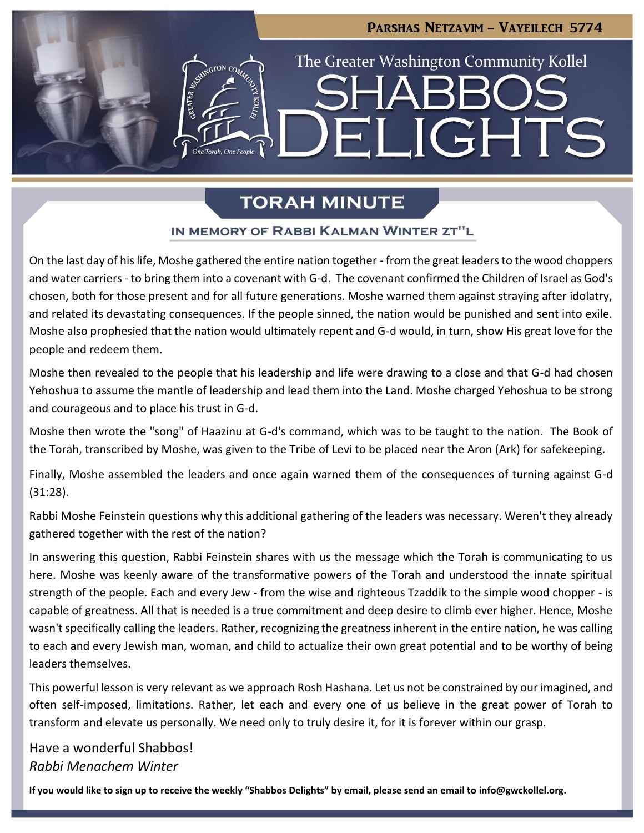# Parshas Netzavim - Vayeilech 5774 The Greater Washington Community Kollel LIGHTS  $\blacksquare$

### **TORAH MINUTE**

### IN MEMORY OF RABBI KALMAN WINTER ZT"L

On the last day of his life, Moshe gathered the entire nation together - from the great leaders to the wood choppers and water carriers - to bring them into a covenant with G-d. The covenant confirmed the Children of Israel as God's chosen, both for those present and for all future generations. Moshe warned them against straying after idolatry, and related its devastating consequences. If the people sinned, the nation would be punished and sent into exile. Moshe also prophesied that the nation would ultimately repent and G-d would, in turn, show His great love for the people and redeem them.

Moshe then revealed to the people that his leadership and life were drawing to a close and that G-d had chosen Yehoshua to assume the mantle of leadership and lead them into the Land. Moshe charged Yehoshua to be strong and courageous and to place his trust in G-d.

Moshe then wrote the "song" of Haazinu at G-d's command, which was to be taught to the nation. The Book of the Torah, transcribed by Moshe, was given to the Tribe of Levi to be placed near the Aron (Ark) for safekeeping.

Finally, Moshe assembled the leaders and once again warned them of the consequences of turning against G-d (31:28).

Rabbi Moshe Feinstein questions why this additional gathering of the leaders was necessary. Weren't they already gathered together with the rest of the nation?

In answering this question, Rabbi Feinstein shares with us the message which the Torah is communicating to us here. Moshe was keenly aware of the transformative powers of the Torah and understood the innate spiritual strength of the people. Each and every Jew - from the wise and righteous Tzaddik to the simple wood chopper - is capable of greatness. All that is needed is a true commitment and deep desire to climb ever higher. Hence, Moshe wasn't specifically calling the leaders. Rather, recognizing the greatness inherent in the entire nation, he was calling to each and every Jewish man, woman, and child to actualize their own great potential and to be worthy of being leaders themselves.

This powerful lesson is very relevant as we approach Rosh Hashana. Let us not be constrained by our imagined, and often self-imposed, limitations. Rather, let each and every one of us believe in the great power of Torah to transform and elevate us personally. We need only to truly desire it, for it is forever within our grasp.

Have a wonderful Shabbos! *Rabbi Menachem Winter*

**If you would like to sign up to receive the weekly "Shabbos Delights" by email, please send an email to [info@gwckollel.org.](mailto:info@gwckollel.org)**